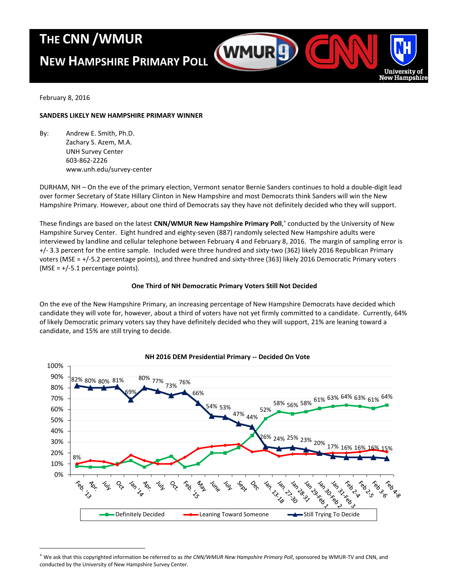# **THE CNN /WMUR**

# **NEW HAMPSHIRE PRIMARY POLL**



February 8, 2016

 $\overline{a}$ 

# **SANDERS LIKELY NEW HAMPSHIRE PRIMARY WINNER**

By: Andrew E. Smith, Ph.D. Zachary S. Azem, M.A. UNH Survey Center 603-862-2226 www.unh.edu/survey-center

DURHAM, NH – On the eve of the primary election, Vermont senator Bernie Sanders continues to hold a double-digit lead over former Secretary of State Hillary Clinton in New Hampshire and most Democrats think Sanders will win the New Hampshire Primary. However, about one third of Democrats say they have not definitely decided who they will support.

These findings are based on the latest **CNN/WMUR New Hampshire Primary Poll**, conducted by the University of New Hampshire Survey Center. Eight hundred and eighty-seven (887) randomly selected New Hampshire adults were interviewed by landline and cellular telephone between February 4 and February 8, 2016. The margin of sampling error is +/- 3.3 percent for the entire sample. Included were three hundred and sixty-two (362) likely 2016 Republican Primary voters (MSE = +/-5.2 percentage points), and three hundred and sixty-three (363) likely 2016 Democratic Primary voters (MSE =  $+/$ -5.1 percentage points).

# **One Third of NH Democratic Primary Voters Still Not Decided**

On the eve of the New Hampshire Primary, an increasing percentage of New Hampshire Democrats have decided which candidate they will vote for, however, about a third of voters have not yet firmly committed to a candidate. Currently, 64% of likely Democratic primary voters say they have definitely decided who they will support, 21% are leaning toward a candidate, and 15% are still trying to decide.



# **NH 2016 DEM Presidential Primary -- Decided On Vote**

We ask that this copyrighted information be referred to as *the CNN/WMUR New Hampshire Primary Poll*, sponsored by WMUR-TV and CNN, and conducted by the University of New Hampshire Survey Center.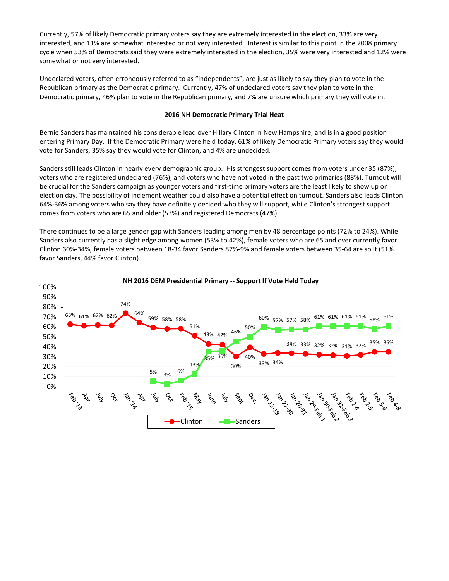Currently, 57% of likely Democratic primary voters say they are extremely interested in the election, 33% are very interested, and 11% are somewhat interested or not very interested. Interest is similar to this point in the 2008 primary cycle when 53% of Democrats said they were extremely interested in the election, 35% were very interested and 12% were somewhat or not very interested.

Undeclared voters, often erroneously referred to as "independents", are just as likely to say they plan to vote in the Republican primary as the Democratic primary. Currently, 47% of undeclared voters say they plan to vote in the Democratic primary, 46% plan to vote in the Republican primary, and 7% are unsure which primary they will vote in.

## **2016 NH Democratic Primary Trial Heat**

Bernie Sanders has maintained his considerable lead over Hillary Clinton in New Hampshire, and is in a good position entering Primary Day. If the Democratic Primary were held today, 61% of likely Democratic Primary voters say they would vote for Sanders, 35% say they would vote for Clinton, and 4% are undecided.

Sanders still leads Clinton in nearly every demographic group. His strongest support comes from voters under 35 (87%), voters who are registered undeclared (76%), and voters who have not voted in the past two primaries (88%). Turnout will be crucial for the Sanders campaign as younger voters and first-time primary voters are the least likely to show up on election day. The possibility of inclement weather could also have a potential effect on turnout. Sanders also leads Clinton 64%-36% among voters who say they have definitely decided who they will support, while Clinton's strongest support comes from voters who are 65 and older (53%) and registered Democrats (47%).

There continues to be a large gender gap with Sanders leading among men by 48 percentage points (72% to 24%). While Sanders also currently has a slight edge among women (53% to 42%), female voters who are 65 and over currently favor Clinton 60%-34%, female voters between 18-34 favor Sanders 87%-9% and female voters between 35-64 are split (51% favor Sanders, 44% favor Clinton).

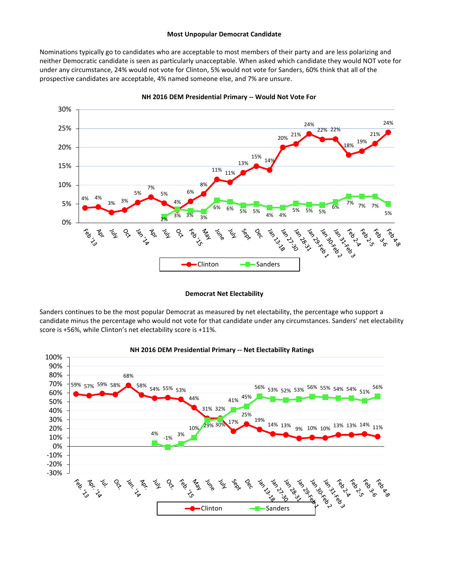## **Most Unpopular Democrat Candidate**

Nominations typically go to candidates who are acceptable to most members of their party and are less polarizing and neither Democratic candidate is seen as particularly unacceptable. When asked which candidate they would NOT vote for under any circumstance, 24% would not vote for Clinton, 5% would not vote for Sanders, 60% think that all of the prospective candidates are acceptable, 4% named someone else, and 7% are unsure.



**NH 2016 DEM Presidential Primary -- Would Not Vote For**

### **Democrat Net Electability**

Sanders continues to be the most popular Democrat as measured by net electability, the percentage who support a candidate minus the percentage who would not vote for that candidate under any circumstances. Sanders' net electability score is +56%, while Clinton's net electability score is +11%.



### **NH 2016 DEM Presidential Primary -- Net Electability Ratings**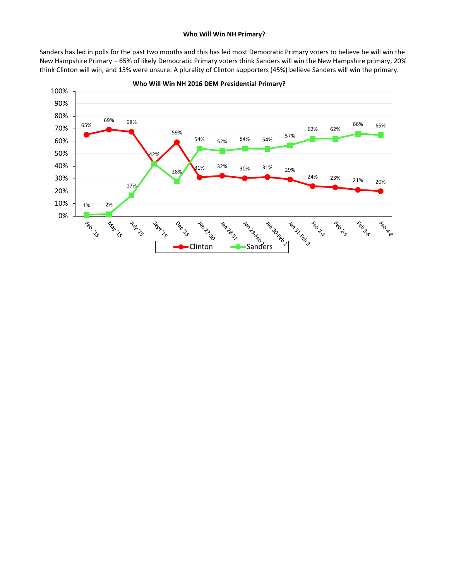# **Who Will Win NH Primary?**

Sanders has led in polls for the past two months and this has led most Democratic Primary voters to believe he will win the New Hampshire Primary – 65% of likely Democratic Primary voters think Sanders will win the New Hampshire primary, 20% think Clinton will win, and 15% were unsure. A plurality of Clinton supporters (45%) believe Sanders will win the primary.



**Who Will Win NH 2016 DEM Presidential Primary?**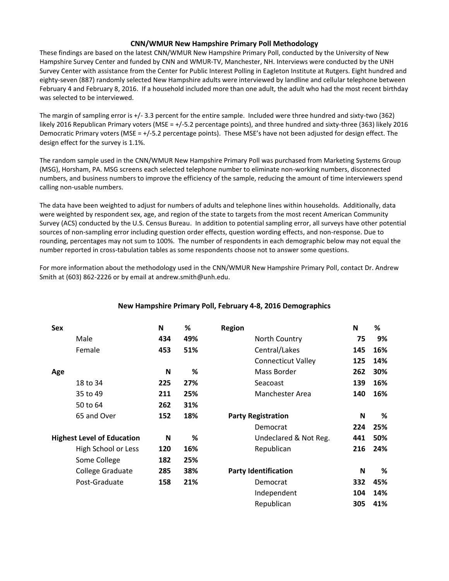# **CNN/WMUR New Hampshire Primary Poll Methodology**

These findings are based on the latest CNN/WMUR New Hampshire Primary Poll, conducted by the University of New Hampshire Survey Center and funded by CNN and WMUR-TV, Manchester, NH. Interviews were conducted by the UNH Survey Center with assistance from the Center for Public Interest Polling in Eagleton Institute at Rutgers. Eight hundred and eighty-seven (887) randomly selected New Hampshire adults were interviewed by landline and cellular telephone between February 4 and February 8, 2016. If a household included more than one adult, the adult who had the most recent birthday was selected to be interviewed.

The margin of sampling error is +/- 3.3 percent for the entire sample. Included were three hundred and sixty-two (362) likely 2016 Republican Primary voters (MSE = +/-5.2 percentage points), and three hundred and sixty-three (363) likely 2016 Democratic Primary voters (MSE = +/-5.2 percentage points). These MSE's have not been adjusted for design effect. The design effect for the survey is 1.1%.

The random sample used in the CNN/WMUR New Hampshire Primary Poll was purchased from Marketing Systems Group (MSG), Horsham, PA. MSG screens each selected telephone number to eliminate non-working numbers, disconnected numbers, and business numbers to improve the efficiency of the sample, reducing the amount of time interviewers spend calling non-usable numbers.

The data have been weighted to adjust for numbers of adults and telephone lines within households. Additionally, data were weighted by respondent sex, age, and region of the state to targets from the most recent American Community Survey (ACS) conducted by the U.S. Census Bureau. In addition to potential sampling error, all surveys have other potential sources of non-sampling error including question order effects, question wording effects, and non-response. Due to rounding, percentages may not sum to 100%. The number of respondents in each demographic below may not equal the number reported in cross-tabulation tables as some respondents choose not to answer some questions.

For more information about the methodology used in the CNN/WMUR New Hampshire Primary Poll, contact Dr. Andrew Smith at (603) 862-2226 or by email at andrew.smith@unh.edu.

| Sex |                                   | N   | %   | <b>Region</b>               | N   | %   |
|-----|-----------------------------------|-----|-----|-----------------------------|-----|-----|
|     | Male                              | 434 | 49% | North Country               | 75  | 9%  |
|     | Female                            | 453 | 51% | Central/Lakes               | 145 | 16% |
|     |                                   |     |     | <b>Connecticut Valley</b>   | 125 | 14% |
| Age |                                   | N   | %   | Mass Border                 | 262 | 30% |
|     | 18 to 34                          | 225 | 27% | Seacoast                    | 139 | 16% |
|     | 35 to 49                          | 211 | 25% | Manchester Area             | 140 | 16% |
|     | 50 to 64                          | 262 | 31% |                             |     |     |
|     | 65 and Over                       | 152 | 18% | <b>Party Registration</b>   | N   | %   |
|     |                                   |     |     | Democrat                    | 224 | 25% |
|     | <b>Highest Level of Education</b> | N   | %   | Undeclared & Not Reg.       | 441 | 50% |
|     | High School or Less               | 120 | 16% | Republican                  | 216 | 24% |
|     | Some College                      | 182 | 25% |                             |     |     |
|     | College Graduate                  | 285 | 38% | <b>Party Identification</b> | N   | %   |
|     | Post-Graduate                     | 158 | 21% | Democrat                    | 332 | 45% |
|     |                                   |     |     | Independent                 | 104 | 14% |
|     |                                   |     |     | Republican                  | 305 | 41% |

# **New Hampshire Primary Poll, February 4-8, 2016 Demographics**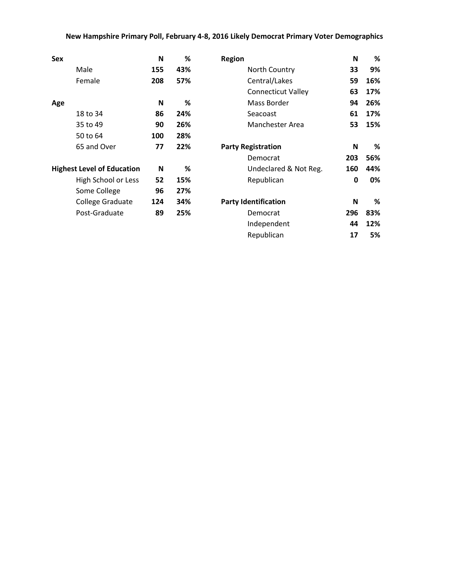# **New Hampshire Primary Poll, February 4-8, 2016 Likely Democrat Primary Voter Demographics**

| Sex                               | N   | %   | <b>Region</b>               | N   | %   |
|-----------------------------------|-----|-----|-----------------------------|-----|-----|
| Male                              | 155 | 43% | North Country               | 33  | 9%  |
| Female                            | 208 | 57% | Central/Lakes               | 59  | 16% |
|                                   |     |     | <b>Connecticut Valley</b>   | 63  | 17% |
| Age                               | N   | %   | Mass Border                 | 94  | 26% |
| 18 to 34                          | 86  | 24% | Seacoast                    | 61  | 17% |
| 35 to 49                          | 90  | 26% | <b>Manchester Area</b>      | 53  | 15% |
| 50 to 64                          | 100 | 28% |                             |     |     |
| 65 and Over                       | 77  | 22% | <b>Party Registration</b>   | N   | %   |
|                                   |     |     | Democrat                    | 203 | 56% |
| <b>Highest Level of Education</b> | N   | %   | Undeclared & Not Reg.       | 160 | 44% |
| High School or Less               | 52  | 15% | Republican                  | 0   | 0%  |
| Some College                      | 96  | 27% |                             |     |     |
| College Graduate                  | 124 | 34% | <b>Party Identification</b> | N   | %   |
| Post-Graduate                     | 89  | 25% | Democrat                    | 296 | 83% |
|                                   |     |     | Independent                 | 44  | 12% |
|                                   |     |     | Republican                  | 17  | 5%  |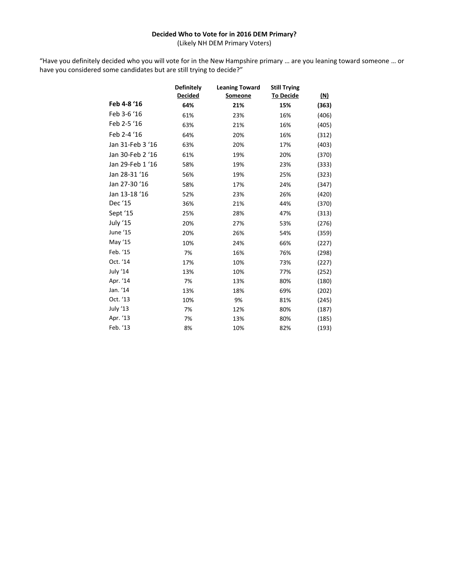# **Decided Who to Vote for in 2016 DEM Primary?**

(Likely NH DEM Primary Voters)

"Have you definitely decided who you will vote for in the New Hampshire primary … are you leaning toward someone … or have you considered some candidates but are still trying to decide?"

|                  | <b>Definitely</b> | <b>Leaning Toward</b> | <b>Still Trying</b> |            |
|------------------|-------------------|-----------------------|---------------------|------------|
|                  | <b>Decided</b>    | <b>Someone</b>        | <b>To Decide</b>    | <u>(N)</u> |
| Feb 4-8 '16      | 64%               | 21%                   | 15%                 | (363)      |
| Feb 3-6 '16      | 61%               | 23%                   | 16%                 | (406)      |
| Feb 2-5 '16      | 63%               | 21%                   | 16%                 | (405)      |
| Feb 2-4 '16      | 64%               | 20%                   | 16%                 | (312)      |
| Jan 31-Feb 3 '16 | 63%               | 20%                   | 17%                 | (403)      |
| Jan 30-Feb 2 '16 | 61%               | 19%                   | 20%                 | (370)      |
| Jan 29-Feb 1 '16 | 58%               | 19%                   | 23%                 | (333)      |
| Jan 28-31 '16    | 56%               | 19%                   | 25%                 | (323)      |
| Jan 27-30 '16    | 58%               | 17%                   | 24%                 | (347)      |
| Jan 13-18 '16    | 52%               | 23%                   | 26%                 | (420)      |
| Dec '15          | 36%               | 21%                   | 44%                 | (370)      |
| Sept '15         | 25%               | 28%                   | 47%                 | (313)      |
| July '15         | 20%               | 27%                   | 53%                 | (276)      |
| June '15         | 20%               | 26%                   | 54%                 | (359)      |
| May '15          | 10%               | 24%                   | 66%                 | (227)      |
| Feb. '15         | 7%                | 16%                   | 76%                 | (298)      |
| Oct. '14         | 17%               | 10%                   | 73%                 | (227)      |
| July '14         | 13%               | 10%                   | 77%                 | (252)      |
| Apr. '14         | 7%                | 13%                   | 80%                 | (180)      |
| Jan. '14         | 13%               | 18%                   | 69%                 | (202)      |
| Oct. '13         | 10%               | 9%                    | 81%                 | (245)      |
| July '13         | 7%                | 12%                   | 80%                 | (187)      |
| Apr. '13         | 7%                | 13%                   | 80%                 | (185)      |
| Feb. '13         | 8%                | 10%                   | 82%                 | (193)      |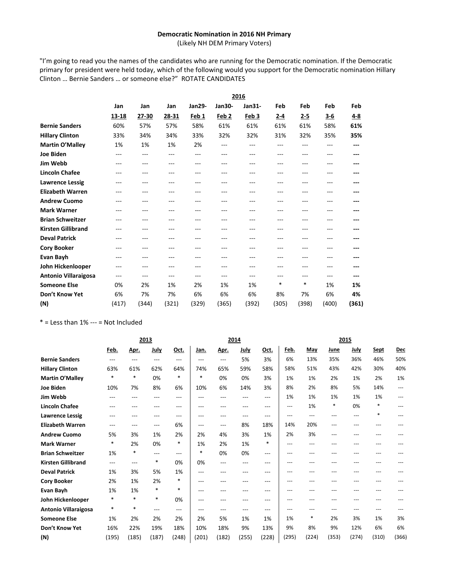## **Democratic Nomination in 2016 NH Primary**

(Likely NH DEM Primary Voters)

"I'm going to read you the names of the candidates who are running for the Democratic nomination. If the Democratic primary for president were held today, which of the following would you support for the Democratic nomination Hillary Clinton … Bernie Sanders … or someone else?" ROTATE CANDIDATES

|                             |       |       |         |                  |                  | 2016             |         |         |         |         |
|-----------------------------|-------|-------|---------|------------------|------------------|------------------|---------|---------|---------|---------|
|                             | Jan   | Jan   | Jan     | Jan29-           | <b>Jan30-</b>    | Jan31-           | Feb     | Feb     | Feb     | Feb     |
|                             | 13-18 | 27-30 | 28-31   | Feb <sub>1</sub> | Feb <sub>2</sub> | Feb <sub>3</sub> | $2 - 4$ | $2 - 5$ | $3 - 6$ | $4 - 8$ |
| <b>Bernie Sanders</b>       | 60%   | 57%   | 57%     | 58%              | 61%              | 61%              | 61%     | 61%     | 58%     | 61%     |
| <b>Hillary Clinton</b>      | 33%   | 34%   | 34%     | 33%              | 32%              | 32%              | 31%     | 32%     | 35%     | 35%     |
| <b>Martin O'Malley</b>      | 1%    | 1%    | 1%      | 2%               | ---              | ---              | $- - -$ | ---     | ---     | ---     |
| <b>Joe Biden</b>            | $---$ | ---   | $---$   | $---$            | ---              | ---              | ---     | ---     |         |         |
| Jim Webb                    | $---$ | ---   | ---     | ---              | ---              | ---              | ---     | ---     | ---     |         |
| <b>Lincoln Chafee</b>       | $---$ | ---   | ---     | ---              | ---              | ---              | ---     | ---     |         |         |
| <b>Lawrence Lessig</b>      | ---   | ---   | ---     | ---              | ---              | ---              | ---     | ---     |         |         |
| <b>Elizabeth Warren</b>     | ---   | ---   | ---     | ---              | ---              | ---              | ---     | ---     | ---     |         |
| <b>Andrew Cuomo</b>         | ---   | ---   | ---     | ---              | ---              | ---              | ---     | ---     |         |         |
| <b>Mark Warner</b>          | ---   | ---   | $- - -$ | ---              | ---              | ---              | ---     | ---     | ---     |         |
| <b>Brian Schweitzer</b>     | $---$ | ---   | $- - -$ | $- - -$          | ---              | ---              | ---     | ---     | ---     |         |
| <b>Kirsten Gillibrand</b>   | ---   | ---   | $---$   | ---              | ---              | ---              | ---     | ---     | ---     |         |
| <b>Deval Patrick</b>        | ---   | ---   | ---     | ---              | ---              | ---              | ---     | ---     |         |         |
| <b>Cory Booker</b>          | ---   | ---   | ---     | ---              | ---              | ---              | ---     | ---     |         |         |
| Evan Bayh                   | ---   | ---   | ---     | ---              | ---              | ---              | ---     | ---     |         |         |
| John Hickenlooper           | $---$ | ---   | $---$   | $---$            | ---              | ---              | ---     | ---     | ---     |         |
| <b>Antonio Villaraigosa</b> | $---$ | ---   | $---$   | ---              | ---              | ---              | ---     | ---     | ---     |         |
| <b>Someone Else</b>         | 0%    | 2%    | 1%      | 2%               | 1%               | 1%               | *       | $\ast$  | 1%      | 1%      |
| Don't Know Yet              | 6%    | 7%    | 7%      | 6%               | 6%               | 6%               | 8%      | 7%      | 6%      | 4%      |
| (N)                         | (417) | (344) | (321)   | (329)            | (365)            | (392)            | (305)   | (398)   | (400)   | (361)   |

 $*$  = Less than 1% --- = Not Included

|                           |        |        | 2013        |        |        |       | 2014  |        |       |        |       | 2015  |        |       |
|---------------------------|--------|--------|-------------|--------|--------|-------|-------|--------|-------|--------|-------|-------|--------|-------|
|                           | Feb.   | Apr.   | <b>July</b> | Oct.   | Jan.   | Apr.  | July  | Oct.   | Feb.  | May    | June  | July  | Sept   | Dec   |
| <b>Bernie Sanders</b>     | $---$  | $---$  | $---$       | $---$  | ---    | $---$ | 5%    | 3%     | 6%    | 13%    | 35%   | 36%   | 46%    | 50%   |
| <b>Hillary Clinton</b>    | 63%    | 61%    | 62%         | 64%    | 74%    | 65%   | 59%   | 58%    | 58%   | 51%    | 43%   | 42%   | 30%    | 40%   |
| Martin O'Malley           | $\ast$ | $\ast$ | 0%          | $\ast$ | $\ast$ | 0%    | 0%    | 3%     | 1%    | 1%     | 2%    | 1%    | 2%     | 1%    |
| <b>Joe Biden</b>          | 10%    | 7%     | 8%          | 6%     | 10%    | 6%    | 14%   | 3%     | 8%    | 2%     | 8%    | 5%    | 14%    | ---   |
| Jim Webb                  | $---$  | ---    | ---         | $---$  | $---$  | ---   | ---   | ---    | 1%    | 1%     | 1%    | 1%    | 1%     | ---   |
| <b>Lincoln Chafee</b>     | ---    | ---    | ---         | $---$  | ---    | ---   | ---   | ---    | $---$ | 1%     | *     | 0%    | *      | ---   |
| <b>Lawrence Lessig</b>    |        |        | ---         | $---$  | ---    | $---$ | ---   | ---    | $---$ | $---$  | ---   | ---   | $\ast$ | ---   |
| <b>Elizabeth Warren</b>   | $---$  | ---    | $---$       | 6%     | ---    | $---$ | 8%    | 18%    | 14%   | 20%    | ---   |       |        |       |
| <b>Andrew Cuomo</b>       | 5%     | 3%     | 1%          | 2%     | 2%     | 4%    | 3%    | 1%     | 2%    | 3%     | ---   | ---   |        |       |
| <b>Mark Warner</b>        | $\ast$ | 2%     | 0%          | $\ast$ | 1%     | 2%    | 1%    | $\ast$ | ---   | ---    |       | ---   |        |       |
| <b>Brian Schweitzer</b>   | 1%     | $\ast$ | $---$       | $---$  | $\ast$ | 0%    | 0%    | $---$  | ---   | ---    | ---   | ---   | ---    |       |
| <b>Kirsten Gillibrand</b> | $---$  | ---    | $\ast$      | 0%     | 0%     | $---$ | ---   | ---    | ---   | ---    |       |       |        |       |
| <b>Deval Patrick</b>      | 1%     | 3%     | 5%          | 1%     | ---    | $---$ | ---   | ---    | ---   | ---    |       |       |        |       |
| <b>Cory Booker</b>        | 2%     | 1%     | 2%          | $\ast$ | ---    | ---   | ---   | ---    | ---   | ---    | ---   | ---   |        |       |
| Evan Bayh                 | 1%     | 1%     | $\ast$      | $\ast$ | $---$  | ---   | ---   | ---    | ---   | ---    |       |       |        |       |
| John Hickenlooper         | $\ast$ | $\ast$ | $\ast$      | 0%     | ---    | ---   | ---   | ---    | ---   | ---    | ---   | ---   |        |       |
| Antonio Villaraigosa      | $\ast$ | $\ast$ | $---$       | $---$  | $---$  | $---$ | $---$ | $---$  | ---   | ---    | ---   | ---   | ---    |       |
| <b>Someone Else</b>       | 1%     | 2%     | 2%          | 2%     | 2%     | 5%    | 1%    | 1%     | 1%    | $\ast$ | 2%    | 3%    | 1%     | 3%    |
| Don't Know Yet            | 16%    | 22%    | 19%         | 18%    | 10%    | 18%   | 9%    | 13%    | 9%    | 8%     | 9%    | 12%   | 6%     | 6%    |
| (N)                       | (195)  | (185)  | (187)       | (248)  | (201)  | (182) | (255) | (228)  | (295) | (224)  | (353) | (274) | (310)  | (366) |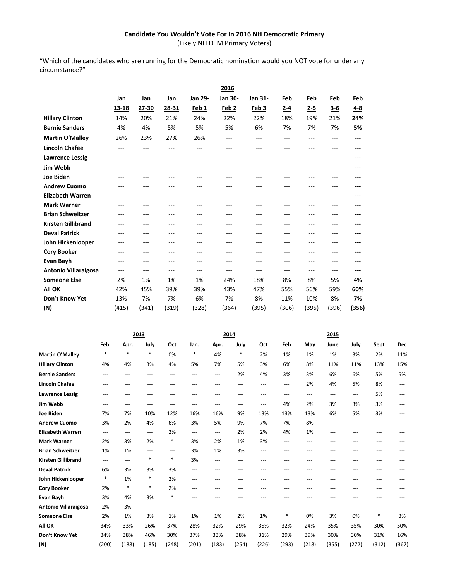# **Candidate You Wouldn't Vote For In 2016 NH Democratic Primary**

(Likely NH DEM Primary Voters)

"Which of the candidates who are running for the Democratic nomination would you NOT vote for under any circumstance?"

|                             |         |       |                   |                | 2016             |                  |         |          |         |         |
|-----------------------------|---------|-------|-------------------|----------------|------------------|------------------|---------|----------|---------|---------|
|                             | Jan     | Jan   | Jan               | <b>Jan 29-</b> | Jan 30-          | Jan 31-          | Feb     | Feb      | Feb     | Feb     |
|                             | 13-18   | 27-30 | 28-31             | Feb 1          | Feb <sub>2</sub> | Feb <sub>3</sub> | $2 - 4$ | 2-5      | $3 - 6$ | $4 - 8$ |
| <b>Hillary Clinton</b>      | 14%     | 20%   | 21%               | 24%            | 22%              | 22%              | 18%     | 19%      | 21%     | 24%     |
| <b>Bernie Sanders</b>       | 4%      | 4%    | 5%                | 5%             | 5%               | 6%               | 7%      | 7%       | 7%      | 5%      |
| Martin O'Malley             | 26%     | 23%   | 27%               | 26%            | ---              | ---              | ---     | $---$    | ---     | ---     |
| <b>Lincoln Chafee</b>       | $---$   | ---   | $---$             | $---$          | $---$            | ---              | ---     | $\cdots$ | ---     | ---     |
| <b>Lawrence Lessig</b>      | ---     | ---   | $---$             | $---$          | ---              | ---              | ---     | $---$    | ---     | ---     |
| Jim Webb                    | $---$   | ---   | $---$             | $---$          | ---              | ---              | ---     | ---      | ---     | ---     |
| <b>Joe Biden</b>            | $---$   | ---   | $---$             | $---$          | ---              | ---              | ---     | ---      | ---     | ---     |
| <b>Andrew Cuomo</b>         | ---     | ---   | $- - -$           | ---            | ---              | ---              | ---     | ---      | ---     |         |
| <b>Elizabeth Warren</b>     | ---     | ---   | $- - -$           | ---            | ---              | ---              | ---     | ---      | ---     |         |
| <b>Mark Warner</b>          | ---     | ---   | $- - -$           | ---            | ---              | ---              | ---     | ---      | ---     |         |
| <b>Brian Schweitzer</b>     | ---     | ---   | $- - -$           | $- - -$        | ---              | ---              | ---     | $- - -$  |         | ---     |
| <b>Kirsten Gillibrand</b>   | $---$   | ---   | $---$             | $---$          | ---              | ---              | ---     | $---$    | ---     | ---     |
| <b>Deval Patrick</b>        | $- - -$ | ---   | $- - -$           | $- - -$        | $- - -$          | ---              | ---     | $- - -$  | ---     | ---     |
| John Hickenlooper           | ---     | ---   | $\cdots$          | $---$          | ---              | ---              | ---     | $---$    | ---     |         |
| <b>Cory Booker</b>          | $---$   | ---   | $---$             | $---$          | ---              | ---              | ---     | $---$    | ---     |         |
| Evan Bayh                   | ---     | ---   | $\cdots$          | $---$          | ---              | ---              | ---     | $\cdots$ | ---     |         |
| <b>Antonio Villaraigosa</b> | $---$   | $---$ | $\qquad \qquad -$ | $---$          | $---$            | $---$            | $---$   | $---$    | $---$   | ---     |
| <b>Someone Else</b>         | 2%      | 1%    | 1%                | 1%             | 24%              | 18%              | 8%      | 8%       | 5%      | 4%      |
| <b>All OK</b>               | 42%     | 45%   | 39%               | 39%            | 43%              | 47%              | 55%     | 56%      | 59%     | 60%     |
| Don't Know Yet              | 13%     | 7%    | 7%                | 6%             | 7%               | 8%               | 11%     | 10%      | 8%      | 7%      |
| (N)                         | (415)   | (341) | (319)             | (328)          | (364)            | (395)            | (306)   | (395)    | (396)   | (356)   |

|                           | 2013                                |        |        |        |                                     | 2014                    |        |                   |        |       | 2015  |                                     |        |            |
|---------------------------|-------------------------------------|--------|--------|--------|-------------------------------------|-------------------------|--------|-------------------|--------|-------|-------|-------------------------------------|--------|------------|
|                           | Feb.                                | Apr.   | July   | Oct    | Jan.                                | Apr.                    | July   | Oct               | Feb    | May   | June  | July                                | Sept   | <b>Dec</b> |
| <b>Martin O'Malley</b>    | $\ast$                              | $\ast$ | $\ast$ | 0%     | $\ast$                              | 4%                      | $\ast$ | 2%                | 1%     | 1%    | 1%    | 3%                                  | 2%     | 11%        |
| <b>Hillary Clinton</b>    | 4%                                  | 4%     | 3%     | 4%     | 5%                                  | 7%                      | 5%     | 3%                | 6%     | 8%    | 11%   | 11%                                 | 13%    | 15%        |
| <b>Bernie Sanders</b>     | $---$                               | ---    | ---    | ---    | $\qquad \qquad -\qquad$             | $\qquad \qquad -\qquad$ | 2%     | 4%                | 3%     | 3%    | 6%    | 6%                                  | 5%     | 5%         |
| <b>Lincoln Chafee</b>     | ---                                 |        | ---    | ---    | ---                                 | ---                     | ---    | $\qquad \qquad -$ | ---    | 2%    | 4%    | 5%                                  | 8%     | ---        |
| <b>Lawrence Lessig</b>    | ---                                 | ---    | ---    | $---$  | $\qquad \qquad -\qquad$             | ---                     | ---    | $\cdots$          | ---    | ---   | ---   | $\hspace{0.05cm}---\hspace{0.05cm}$ | 5%     | ---        |
| Jim Webb                  | ---                                 | ---    | ---    | ---    | ---                                 | ---                     | ---    | $\cdots$          | 4%     | 2%    | 3%    | 3%                                  | 3%     | ---        |
| <b>Joe Biden</b>          | 7%                                  | 7%     | 10%    | 12%    | 16%                                 | 16%                     | 9%     | 13%               | 13%    | 13%   | 6%    | 5%                                  | 3%     | ---        |
| <b>Andrew Cuomo</b>       | 3%                                  | 2%     | 4%     | 6%     | 3%                                  | 5%                      | 9%     | 7%                | 7%     | 8%    | ---   | ---                                 | ---    |            |
| <b>Elizabeth Warren</b>   | $\hspace{0.05cm}---\hspace{0.05cm}$ | ---    | $---$  | 2%     | $\hspace{0.05cm}---\hspace{0.05cm}$ | $\cdots$                | 2%     | 2%                | 4%     | 1%    | ---   | ---                                 | ---    |            |
| <b>Mark Warner</b>        | 2%                                  | 3%     | 2%     | *      | 3%                                  | 2%                      | 1%     | 3%                | ---    | $---$ | $-$   | ---                                 | $-$    |            |
| <b>Brian Schweitzer</b>   | 1%                                  | 1%     | $---$  | $---$  | 3%                                  | 1%                      | 3%     | $---$             | ---    | $---$ | ---   | ---                                 | ---    | ---        |
| <b>Kirsten Gillibrand</b> | $\qquad \qquad -$                   | ---    | $\ast$ | *      | 3%                                  | ---                     | ---    | $---$             | ---    | ---   | ---   | ---                                 | ---    |            |
| <b>Deval Patrick</b>      | 6%                                  | 3%     | 3%     | 3%     | $\qquad \qquad -$                   | ---                     | ---    | $\cdots$          | ---    | $---$ | ---   | ---                                 | ---    |            |
| John Hickenlooper         | $\ast$                              | 1%     | *      | 2%     | $\qquad \qquad -$                   | ---                     | ---    | $\cdots$          | ---    | $---$ | ---   | ---                                 | ---    |            |
| <b>Cory Booker</b>        | 2%                                  | $\ast$ | $\ast$ | 2%     | ---                                 | ---                     | ---    | $\cdots$          | ---    | $---$ | ---   | ---                                 | ---    |            |
| <b>Evan Bayh</b>          | 3%                                  | 4%     | 3%     | $\ast$ | ---                                 | ---                     | ---    | $\cdots$          | ---    | ---   | ---   | ---                                 | ---    |            |
| Antonio Villaraigosa      | 2%                                  | 3%     | $---$  | ---    | $\qquad \qquad -$                   | ---                     | ---    | $\qquad \qquad -$ | ---    | $---$ | ---   | ---                                 | ---    |            |
| <b>Someone Else</b>       | 2%                                  | 1%     | 3%     | 1%     | 1%                                  | 1%                      | 2%     | 1%                | $\ast$ | 0%    | 3%    | 0%                                  | $\ast$ | 3%         |
| All OK                    | 34%                                 | 33%    | 26%    | 37%    | 28%                                 | 32%                     | 29%    | 35%               | 32%    | 24%   | 35%   | 35%                                 | 30%    | 50%        |
| Don't Know Yet            | 34%                                 | 38%    | 46%    | 30%    | 37%                                 | 33%                     | 38%    | 31%               | 29%    | 39%   | 30%   | 30%                                 | 31%    | 16%        |
| (N)                       | (200)                               | (188)  | (185)  | (248)  | (201)                               | (183)                   | (254)  | (226)             | (293)  | (218) | (355) | (272)                               | (312)  | (367)      |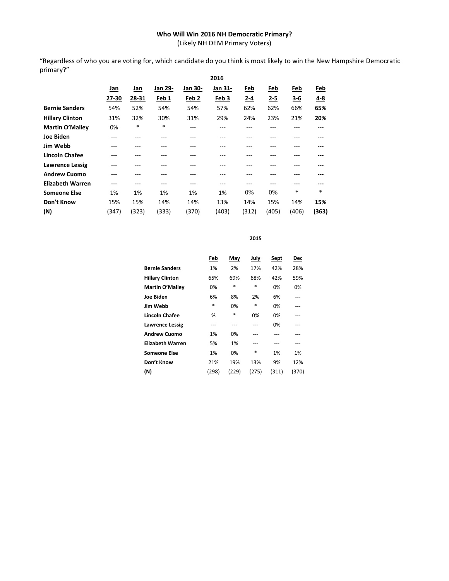# **Who Will Win 2016 NH Democratic Primary?**

(Likely NH DEM Primary Voters)

"Regardless of who you are voting for, which candidate do you think is most likely to win the New Hampshire Democratic primary?"

|                         | 2016  |       |         |                  |                  |         |         |         |        |  |  |
|-------------------------|-------|-------|---------|------------------|------------------|---------|---------|---------|--------|--|--|
|                         | Jan   | Jan   | Jan 29- | Jan 30-          | Jan 31-          | Feb     | Feb     | Feb     | Feb    |  |  |
|                         | 27-30 | 28-31 | Feb 1   | Feb <sub>2</sub> | Feb <sub>3</sub> | $2 - 4$ | $2 - 5$ | $3 - 6$ | 4-8    |  |  |
| <b>Bernie Sanders</b>   | 54%   | 52%   | 54%     | 54%              | 57%              | 62%     | 62%     | 66%     | 65%    |  |  |
| <b>Hillary Clinton</b>  | 31%   | 32%   | 30%     | 31%              | 29%              | 24%     | 23%     | 21%     | 20%    |  |  |
| <b>Martin O'Malley</b>  | 0%    | *     | $*$     | ---              | ---              | ---     | ---     | ---     | ---    |  |  |
| <b>Joe Biden</b>        |       |       | $- - -$ | ---              |                  | ---     | ---     |         | ---    |  |  |
| Jim Webb                | ---   |       | $- - -$ | ---              | ---              | ---     | ---     | ---     | ---    |  |  |
| <b>Lincoln Chafee</b>   |       |       | $- - -$ | ---              |                  | ---     |         |         | ---    |  |  |
| <b>Lawrence Lessig</b>  | ---   | ---   | $- - -$ | ---              | ---              | ---     | ---     | ---     | ---    |  |  |
| <b>Andrew Cuomo</b>     |       |       |         |                  |                  | ---     |         |         | ---    |  |  |
| <b>Elizabeth Warren</b> |       |       | ---     | ---              | ---              | ---     | ---     |         | ---    |  |  |
| <b>Someone Else</b>     | 1%    | 1%    | 1%      | 1%               | 1%               | 0%      | 0%      | *       | $\ast$ |  |  |
| Don't Know              | 15%   | 15%   | 14%     | 14%              | 13%              | 14%     | 15%     | 14%     | 15%    |  |  |
| (N)                     | (347) | (323) | (333)   | (370)            | (403)            | (312)   | (405)   | (406)   | (363)  |  |  |

**2015**

|                         | Feb   | May   | July  | Sept  | <b>Dec</b> |
|-------------------------|-------|-------|-------|-------|------------|
| <b>Bernie Sanders</b>   | 1%    | 2%    | 17%   | 42%   | 28%        |
| <b>Hillary Clinton</b>  | 65%   | 69%   | 68%   | 42%   | 59%        |
| Martin O'Malley         | 0%    | *     | *     | 0%    | 0%         |
| <b>Joe Biden</b>        | 6%    | 8%    | 2%    | 6%    |            |
| Jim Webb                | *     | 0%    | *     | 0%    | ---        |
| Lincoln Chafee          | %     | *     | 0%    | 0%    |            |
| <b>Lawrence Lessig</b>  | ---   |       |       | 0%    |            |
| <b>Andrew Cuomo</b>     | 1%    | 0%    |       |       |            |
| <b>Elizabeth Warren</b> | 5%    | 1%    |       |       |            |
| <b>Someone Else</b>     | 1%    | 0%    | *     | 1%    | 1%         |
| Don't Know              | 21%   | 19%   | 13%   | 9%    | 12%        |
| (N)                     | (298) | (229) | (275) | (311) | (370)      |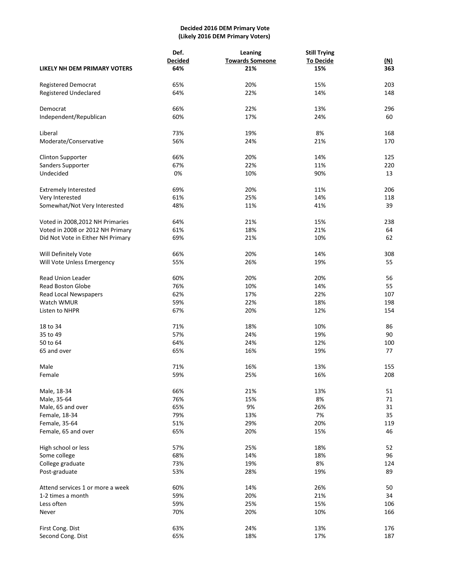## **Decided 2016 DEM Primary Vote (Likely 2016 DEM Primary Voters)**

|                                   | Def.           | Leaning                | <b>Still Trying</b> |            |
|-----------------------------------|----------------|------------------------|---------------------|------------|
|                                   | <b>Decided</b> | <b>Towards Someone</b> | <b>To Decide</b>    | <u>(N)</u> |
| LIKELY NH DEM PRIMARY VOTERS      | 64%            | 21%                    | 15%                 | 363        |
| Registered Democrat               | 65%            | 20%                    | 15%                 | 203        |
| <b>Registered Undeclared</b>      | 64%            | 22%                    | 14%                 | 148        |
| Democrat                          | 66%            | 22%                    | 13%                 | 296        |
| Independent/Republican            | 60%            | 17%                    | 24%                 | 60         |
| Liberal                           | 73%            | 19%                    | 8%                  | 168        |
| Moderate/Conservative             | 56%            | 24%                    | 21%                 | 170        |
| <b>Clinton Supporter</b>          | 66%            | 20%                    | 14%                 | 125        |
| Sanders Supporter                 | 67%            | 22%                    | 11%                 | 220        |
| Undecided                         | 0%             | 10%                    | 90%                 | 13         |
| <b>Extremely Interested</b>       | 69%            | 20%                    | 11%                 | 206        |
| Very Interested                   | 61%            | 25%                    | 14%                 | 118        |
| Somewhat/Not Very Interested      | 48%            | 11%                    | 41%                 | 39         |
| Voted in 2008,2012 NH Primaries   | 64%            | 21%                    | 15%                 | 238        |
| Voted in 2008 or 2012 NH Primary  | 61%            | 18%                    | 21%                 | 64         |
| Did Not Vote in Either NH Primary | 69%            | 21%                    | 10%                 | 62         |
| Will Definitely Vote              | 66%            | 20%                    | 14%                 | 308        |
| Will Vote Unless Emergency        | 55%            | 26%                    | 19%                 | 55         |
| <b>Read Union Leader</b>          | 60%            | 20%                    | 20%                 | 56         |
| Read Boston Globe                 | 76%            | 10%                    | 14%                 | 55         |
| Read Local Newspapers             | 62%            | 17%                    | 22%                 | 107        |
| Watch WMUR                        | 59%            | 22%                    | 18%                 | 198        |
| Listen to NHPR                    | 67%            | 20%                    | 12%                 | 154        |
| 18 to 34                          | 71%            | 18%                    | 10%                 | 86         |
| 35 to 49                          | 57%            | 24%                    | 19%                 | 90         |
| 50 to 64                          | 64%            | 24%                    | 12%                 | 100        |
| 65 and over                       | 65%            | 16%                    | 19%                 | 77         |
| Male                              | 71%            | 16%                    | 13%                 | 155        |
| Female                            | 59%            | 25%                    | 16%                 | 208        |
| Male, 18-34                       | 66%            | 21%                    | 13%                 | 51         |
| Male, 35-64                       | 76%            | 15%                    | 8%                  | 71         |
| Male, 65 and over                 | 65%            | 9%                     | 26%                 | 31         |
| Female, 18-34                     | 79%            | 13%                    | 7%                  | 35         |
| Female, 35-64                     | 51%            | 29%                    | 20%                 | 119        |
| Female, 65 and over               | 65%            | 20%                    | 15%                 | 46         |
| High school or less               | 57%            | 25%                    | 18%                 | 52         |
| Some college                      | 68%            | 14%                    | 18%                 | 96         |
| College graduate                  | 73%            | 19%                    | 8%                  | 124        |
| Post-graduate                     | 53%            | 28%                    | 19%                 | 89         |
| Attend services 1 or more a week  | 60%            | 14%                    | 26%                 | 50         |
| 1-2 times a month                 | 59%            | 20%                    | 21%                 | 34         |
| Less often                        | 59%            | 25%                    | 15%                 | 106        |
| Never                             | 70%            | 20%                    | 10%                 | 166        |
| First Cong. Dist                  | 63%            | 24%                    | 13%                 | 176        |
| Second Cong. Dist                 | 65%            | 18%                    | 17%                 | 187        |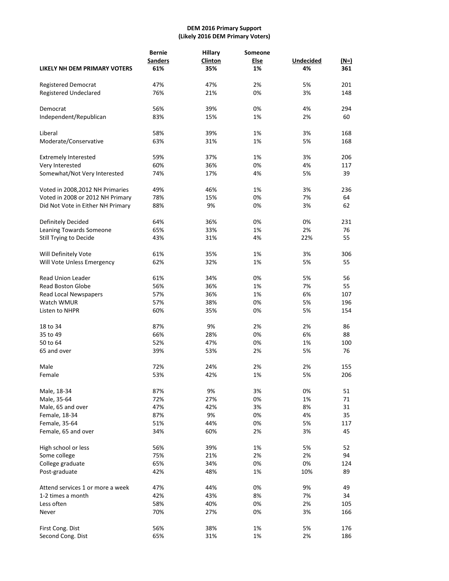#### **DEM 2016 Primary Support (Likely 2016 DEM Primary Voters)**

|                                     | <b>Bernie</b><br><b>Sanders</b> | <b>Hillary</b><br>Clinton | Someone<br><b>Else</b> | <b>Undecided</b> | $(N=)$ |
|-------------------------------------|---------------------------------|---------------------------|------------------------|------------------|--------|
| <b>LIKELY NH DEM PRIMARY VOTERS</b> | 61%                             | 35%                       | 1%                     | 4%               | 361    |
| Registered Democrat                 | 47%                             | 47%                       | 2%                     | 5%               | 201    |
| <b>Registered Undeclared</b>        | 76%                             | 21%                       | 0%                     | 3%               | 148    |
| Democrat                            | 56%                             | 39%                       | 0%                     | 4%               | 294    |
| Independent/Republican              | 83%                             | 15%                       | 1%                     | 2%               | 60     |
|                                     |                                 |                           |                        |                  |        |
| Liberal                             | 58%                             | 39%                       | 1%                     | 3%               | 168    |
| Moderate/Conservative               | 63%                             | 31%                       | 1%                     | 5%               | 168    |
| <b>Extremely Interested</b>         | 59%                             | 37%                       | 1%                     | 3%               | 206    |
| Very Interested                     | 60%                             | 36%                       | 0%                     | 4%               | 117    |
| Somewhat/Not Very Interested        | 74%                             | 17%                       | 4%                     | 5%               | 39     |
| Voted in 2008, 2012 NH Primaries    | 49%                             | 46%                       | 1%                     | 3%               | 236    |
| Voted in 2008 or 2012 NH Primary    | 78%                             | 15%                       | 0%                     | 7%               | 64     |
| Did Not Vote in Either NH Primary   | 88%                             | 9%                        | 0%                     | 3%               | 62     |
| Definitely Decided                  | 64%                             | 36%                       | 0%                     | 0%               | 231    |
| Leaning Towards Someone             | 65%                             | 33%                       | 1%                     | 2%               | 76     |
| Still Trying to Decide              | 43%                             | 31%                       | 4%                     | 22%              | 55     |
| Will Definitely Vote                | 61%                             | 35%                       | 1%                     | 3%               | 306    |
| Will Vote Unless Emergency          | 62%                             | 32%                       | 1%                     | 5%               | 55     |
| <b>Read Union Leader</b>            | 61%                             | 34%                       | 0%                     | 5%               | 56     |
| <b>Read Boston Globe</b>            | 56%                             | 36%                       | 1%                     | 7%               | 55     |
| Read Local Newspapers               | 57%                             | 36%                       | 1%                     | 6%               | 107    |
| Watch WMUR                          | 57%                             | 38%                       | 0%                     | 5%               | 196    |
| Listen to NHPR                      | 60%                             | 35%                       | 0%                     | 5%               | 154    |
| 18 to 34                            | 87%                             | 9%                        | 2%                     | 2%               | 86     |
| 35 to 49                            | 66%                             | 28%                       | 0%                     | 6%               | 88     |
| 50 to 64                            | 52%                             | 47%                       | 0%                     | 1%               | 100    |
| 65 and over                         | 39%                             | 53%                       | 2%                     | 5%               | 76     |
| Male                                | 72%                             | 24%                       | 2%                     | 2%               | 155    |
| Female                              | 53%                             | 42%                       | 1%                     | 5%               | 206    |
| Male, 18-34                         | 87%                             | 9%                        | 3%                     | 0%               | 51     |
| Male, 35-64                         | 72%                             | 27%                       | 0%                     | 1%               | 71     |
| Male, 65 and over                   | 47%                             | 42%                       | 3%                     | 8%               | 31     |
| Female, 18-34                       | 87%                             | 9%                        | 0%                     | 4%               | 35     |
| Female, 35-64                       | 51%                             | 44%                       | 0%                     | 5%               | 117    |
| Female, 65 and over                 | 34%                             | 60%                       | 2%                     | 3%               | 45     |
| High school or less                 | 56%                             | 39%                       | 1%                     | 5%               | 52     |
| Some college                        | 75%                             | 21%                       | 2%                     | 2%               | 94     |
| College graduate                    | 65%                             | 34%                       | 0%                     | 0%               | 124    |
| Post-graduate                       | 42%                             | 48%                       | 1%                     | 10%              | 89     |
| Attend services 1 or more a week    | 47%                             | 44%                       | 0%                     | 9%               | 49     |
| 1-2 times a month                   | 42%                             | 43%                       | 8%                     | 7%               | 34     |
| Less often                          | 58%                             | 40%                       | 0%                     | 2%               | 105    |
| Never                               | 70%                             | 27%                       | 0%                     | 3%               | 166    |
| First Cong. Dist                    | 56%                             | 38%                       | 1%                     | 5%               | 176    |
| Second Cong. Dist                   | 65%                             | 31%                       | 1%                     | 2%               | 186    |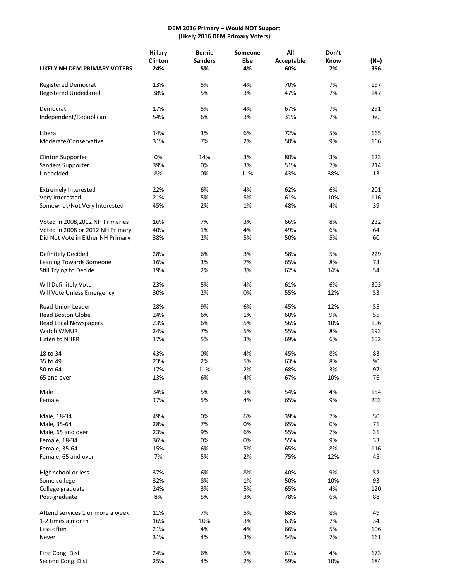# **DEM 2016 Primary – Would NOT Support (Likely 2016 DEM Primary Voters)**

|                                   | <b>Hillary</b> | <b>Bernie</b>  | Someone     | All               | Don't |        |
|-----------------------------------|----------------|----------------|-------------|-------------------|-------|--------|
|                                   | Clinton        | <b>Sanders</b> | <b>Else</b> | <b>Acceptable</b> | Know  | $(N=)$ |
| LIKELY NH DEM PRIMARY VOTERS      | 24%            | 5%             | 4%          | 60%               | 7%    | 356    |
| Registered Democrat               | 13%            | 5%             | 4%          | 70%               | 7%    | 197    |
| <b>Registered Undeclared</b>      | 38%            | 5%             | 3%          | 47%               | 7%    | 147    |
| Democrat                          | 17%            | 5%             | 4%          | 67%               | 7%    | 291    |
| Independent/Republican            | 54%            | 6%             | 3%          | 31%               | 7%    | 60     |
| Liberal                           | 14%            | 3%             | 6%          | 72%               | 5%    | 165    |
| Moderate/Conservative             | 31%            | 7%             | 2%          | 50%               | 9%    | 166    |
| <b>Clinton Supporter</b>          | 0%             | 14%            | 3%          | 80%               | 3%    | 123    |
| Sanders Supporter                 | 39%            | 0%             | 3%          | 51%               | 7%    | 214    |
| Undecided                         | 8%             | 0%             | 11%         | 43%               | 38%   | 13     |
| <b>Extremely Interested</b>       | 22%            | 6%             | 4%          | 62%               | 6%    | 201    |
| Very Interested                   | 21%            | 5%             | 5%          | 61%               | 10%   | 116    |
| Somewhat/Not Very Interested      | 45%            | 2%             | 1%          | 48%               | 4%    | 39     |
| Voted in 2008, 2012 NH Primaries  | 16%            | 7%             | 3%          | 66%               | 8%    | 232    |
| Voted in 2008 or 2012 NH Primary  | 40%            | 1%             | 4%          | 49%               | 6%    | 64     |
| Did Not Vote in Either NH Primary | 38%            | 2%             | 5%          | 50%               | 5%    | 60     |
| Definitely Decided                | 28%            | 6%             | 3%          | 58%               | 5%    | 229    |
| Leaning Towards Someone           | 16%            | 3%             | 7%          | 65%               | 8%    | 73     |
| Still Trying to Decide            | 19%            | 2%             | 3%          | 62%               | 14%   | 54     |
| Will Definitely Vote              | 23%            | 5%             | 4%          | 61%               | 6%    | 303    |
| Will Vote Unless Emergency        | 30%            | 2%             | 0%          | 55%               | 12%   | 53     |
| Read Union Leader                 | 28%            | 9%             | 6%          | 45%               | 12%   | 55     |
| <b>Read Boston Globe</b>          | 24%            | 6%             | 1%          | 60%               | 9%    | 55     |
| Read Local Newspapers             | 23%            | 6%             | 5%          | 56%               | 10%   | 106    |
| Watch WMUR                        | 24%            | 7%             | 5%          | 55%               | 8%    | 193    |
| Listen to NHPR                    | 17%            | 5%             | 3%          | 69%               | 6%    | 152    |
| 18 to 34                          | 43%            | 0%             | 4%          | 45%               | 8%    | 83     |
| 35 to 49                          | 23%            | 2%             | 5%          | 63%               | 8%    | 90     |
| 50 to 64                          | 17%            | 11%            | 2%          | 68%               | 3%    | 97     |
| 65 and over                       | 13%            | 6%             | 4%          | 67%               | 10%   | 76     |
| Male                              | 34%            | 5%             | 3%          | 54%               | 4%    | 154    |
| Female                            | 17%            | 5%             | 4%          | 65%               | 9%    | 203    |
| Male, 18-34                       | 49%            | 0%             | 6%          | 39%               | 7%    | 50     |
| Male, 35-64                       | 28%            | 7%             | 0%          | 65%               | 0%    | 71     |
| Male, 65 and over                 | 23%            | 9%             | 6%          | 55%               | 7%    | 31     |
| Female, 18-34                     | 36%            | 0%             | 0%          | 55%               | 9%    | 33     |
| Female, 35-64                     | 15%            | 6%             | 5%          | 65%               | 8%    | 116    |
| Female, 65 and over               | 7%             | 5%             | 2%          | 75%               | 12%   | 45     |
| High school or less               | 37%            | 6%             | 8%          | 40%               | 9%    | 52     |
| Some college                      | 32%            | 8%             | 1%          | 50%               | 10%   | 93     |
| College graduate                  | 24%            | 3%             | 5%          | 65%               | 4%    | 120    |
| Post-graduate                     | 8%             | 5%             | 3%          | 78%               | 6%    | 88     |
| Attend services 1 or more a week  | 11%            | 7%             | 5%          | 68%               | 8%    | 49     |
| 1-2 times a month                 | 16%            | 10%            | 3%          | 63%               | 7%    | 34     |
| Less often                        | 21%            | 4%             | 4%          | 66%               | 5%    | 106    |
| Never                             | 31%            | 4%             | 3%          | 54%               | 7%    | 161    |
| First Cong. Dist                  | 24%            | 6%             | 5%          | 61%               | 4%    | 173    |
| Second Cong. Dist                 | 25%            | 4%             | 2%          | 59%               | 10%   | 184    |